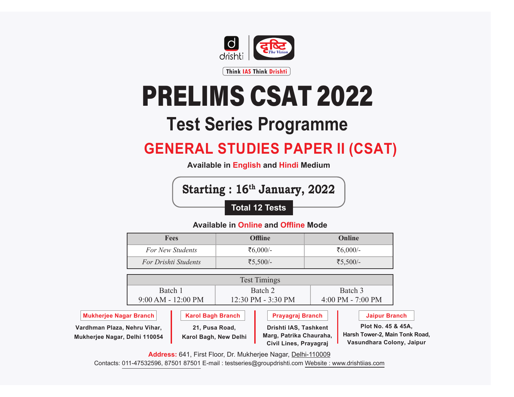

# PRELIMS CSAT 2022

## **Test Series Programme**

### **GENERAL STUDIES PAPER II (CSAT)**

**Available in English and Hindi Medium**

**Starting : 16th January, 2022 Total 12 Tests**

### **Available in Online and Offline Mode**

| Fees                    | <b>Offline</b> | <b>Online</b> |  |
|-------------------------|----------------|---------------|--|
| <b>For New Students</b> | ₹6,000/-       | ₹6,000/-      |  |
| For Drishti Students    | ₹5,500/-       | ₹5,500/-      |  |

|                               | <b>Test Timings</b>      |                                      |                         |                     |               |  |
|-------------------------------|--------------------------|--------------------------------------|-------------------------|---------------------|---------------|--|
|                               | Batch 1                  |                                      | Batch 2                 |                     | Batch 3       |  |
|                               | $9:00 AM - 12:00 PM$     | $12:30 \text{ PM} - 3:30 \text{ PM}$ |                         | $4:00$ PM - 7:00 PM |               |  |
| <b>Mukheriee Nagar Branch</b> | <b>Karol Bagh Branch</b> |                                      | <b>Pravagraj Branch</b> |                     | Jaipur Branch |  |

**Vardhman Plaza, Nehru Vihar, Mukherjee Nagar, Delhi 110054**

**Karol Bagh Branch 21, Pusa Road, Karol Bagh, New Delhi**

**Prayagraj Branch Drishti IAS, Tashkent** 

**Marg, Patrika Chauraha, Civil Lines, Prayagraj**

**Jaipur Branch**

**Plot No. 45 & 45A, Harsh Tower-2, Main Tonk Road, Vasundhara Colony, Jaipur**

ww.drishti.com **Address:** 641, First Floor, Dr. Mukherjee Nagar, Delhi-110009

**Contact :** 8010440440, 8750187501 Contacts: 011-47532596, 87501 87501 E-mail : testseries@groupdrishti.com Website : www.drishtiias.com